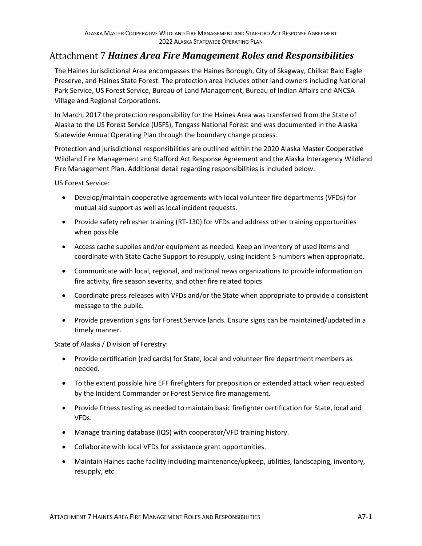## *Haines Area Fire Management Roles and Responsibilities*

The Haines Jurisdictional Area encompasses the Haines Borough, City of Skagway, Chilkat Bald Eagle Preserve, and Haines State Forest. The protection area includes other land owners including National Park Service, US Forest Service, Bureau of Land Management, Bureau of Indian Affairs and ANCSA Village and Regional Corporations.

In March, 2017 the protection responsibility for the Haines Area was transferred from the State of Alaska to the US Forest Service (USFS), Tongass National Forest and was documented in the Alaska Statewide Annual Operating Plan through the boundary change process.

Protection and jurisdictional responsibilities are outlined within the 2020 Alaska Master Cooperative Wildland Fire Management and Stafford Act Response Agreement and the Alaska Interagency Wildland Fire Management Plan. Additional detail regarding responsibilities is included below.

US Forest Service:

- Develop/maintain cooperative agreements with local volunteer fire departments (VFDs) for mutual aid support as well as local incident requests.
- Provide safety refresher training (RT-130) for VFDs and address other training opportunities when possible
- Access cache supplies and/or equipment as needed. Keep an inventory of used items and coordinate with State Cache Support to resupply, using incident S-numbers when appropriate.
- Communicate with local, regional, and national news organizations to provide information on fire activity, fire season severity, and other fire related topics
- Coordinate press releases with VFDs and/or the State when appropriate to provide a consistent message to the public.
- Provide prevention signs for Forest Service lands. Ensure signs can be maintained/updated in a timely manner.

State of Alaska / Division of Forestry:

- Provide certification (red cards) for State, local and volunteer fire department members as needed.
- To the extent possible hire EFF firefighters for preposition or extended attack when requested by the Incident Commander or Forest Service fire management.
- Provide fitness testing as needed to maintain basic firefighter certification for State, local and VFDs.
- Manage training database (IQS) with cooperator/VFD training history.
- Collaborate with local VFDs for assistance grant opportunities.
- Maintain Haines cache facility including maintenance/upkeep, utilities, landscaping, inventory, resupply, etc.